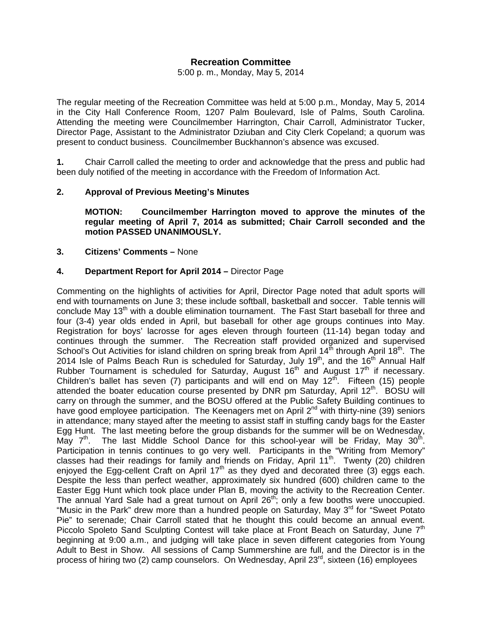# **Recreation Committee**

5:00 p. m., Monday, May 5, 2014

The regular meeting of the Recreation Committee was held at 5:00 p.m., Monday, May 5, 2014 in the City Hall Conference Room, 1207 Palm Boulevard, Isle of Palms, South Carolina. Attending the meeting were Councilmember Harrington, Chair Carroll, Administrator Tucker, Director Page, Assistant to the Administrator Dziuban and City Clerk Copeland; a quorum was present to conduct business. Councilmember Buckhannon's absence was excused.

**1.** Chair Carroll called the meeting to order and acknowledge that the press and public had been duly notified of the meeting in accordance with the Freedom of Information Act.

### **2. Approval of Previous Meeting's Minutes**

 **MOTION: Councilmember Harrington moved to approve the minutes of the regular meeting of April 7, 2014 as submitted; Chair Carroll seconded and the motion PASSED UNANIMOUSLY.** 

### **3. Citizens' Comments –** None

### **4. Department Report for April 2014 –** Director Page

Commenting on the highlights of activities for April, Director Page noted that adult sports will end with tournaments on June 3; these include softball, basketball and soccer. Table tennis will conclude May 13<sup>th</sup> with a double elimination tournament. The Fast Start baseball for three and four (3-4) year olds ended in April, but baseball for other age groups continues into May. Registration for boys' lacrosse for ages eleven through fourteen (11-14) began today and continues through the summer. The Recreation staff provided organized and supervised School's Out Activities for island children on spring break from April 14<sup>th</sup> through April 18<sup>th</sup>. The 2014 Isle of Palms Beach Run is scheduled for Saturday, July 19<sup>th</sup>, and the 16<sup>th</sup> Annual Half Rubber Tournament is scheduled for Saturday, August 16<sup>th</sup> and August 17<sup>th</sup> if necessary. Children's ballet has seven (7) participants and will end on May  $12<sup>th</sup>$ . Fifteen (15) people attended the boater education course presented by DNR pm Saturday, April  $12<sup>th</sup>$ . BOSU will carry on through the summer, and the BOSU offered at the Public Safety Building continues to have good employee participation. The Keenagers met on April 2<sup>nd</sup> with thirty-nine (39) seniors in attendance; many stayed after the meeting to assist staff in stuffing candy bags for the Easter Egg Hunt. The last meeting before the group disbands for the summer will be on Wednesday, May  $7<sup>th</sup>$ . The last Middle School Dance for this school-year will be Friday, May 30<sup>th</sup>. Participation in tennis continues to go very well. Participants in the "Writing from Memory" classes had their readings for family and friends on Friday, April 11<sup>th</sup>. Twenty (20) children enjoyed the Egg-cellent Craft on April  $17<sup>th</sup>$  as they dyed and decorated three (3) eggs each. Despite the less than perfect weather, approximately six hundred (600) children came to the Easter Egg Hunt which took place under Plan B, moving the activity to the Recreation Center. The annual Yard Sale had a great turnout on April 26<sup>th</sup>; only a few booths were unoccupied. "Music in the Park" drew more than a hundred people on Saturday, May 3<sup>rd</sup> for "Sweet Potato" Pie" to serenade; Chair Carroll stated that he thought this could become an annual event. Piccolo Spoleto Sand Sculpting Contest will take place at Front Beach on Saturday, June 7<sup>th</sup> beginning at 9:00 a.m., and judging will take place in seven different categories from Young Adult to Best in Show. All sessions of Camp Summershine are full, and the Director is in the process of hiring two (2) camp counselors. On Wednesday, April 23<sup>rd</sup>, sixteen (16) employees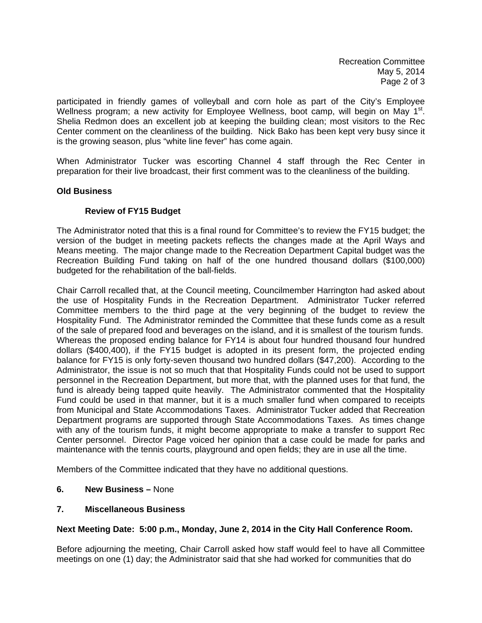participated in friendly games of volleyball and corn hole as part of the City's Employee Wellness program; a new activity for Employee Wellness, boot camp, will begin on May 1<sup>st</sup>. Shelia Redmon does an excellent job at keeping the building clean; most visitors to the Rec Center comment on the cleanliness of the building. Nick Bako has been kept very busy since it is the growing season, plus "white line fever" has come again.

When Administrator Tucker was escorting Channel 4 staff through the Rec Center in preparation for their live broadcast, their first comment was to the cleanliness of the building.

## **Old Business**

### **Review of FY15 Budget**

The Administrator noted that this is a final round for Committee's to review the FY15 budget; the version of the budget in meeting packets reflects the changes made at the April Ways and Means meeting. The major change made to the Recreation Department Capital budget was the Recreation Building Fund taking on half of the one hundred thousand dollars (\$100,000) budgeted for the rehabilitation of the ball-fields.

Chair Carroll recalled that, at the Council meeting, Councilmember Harrington had asked about the use of Hospitality Funds in the Recreation Department. Administrator Tucker referred Committee members to the third page at the very beginning of the budget to review the Hospitality Fund. The Administrator reminded the Committee that these funds come as a result of the sale of prepared food and beverages on the island, and it is smallest of the tourism funds. Whereas the proposed ending balance for FY14 is about four hundred thousand four hundred dollars (\$400,400), if the FY15 budget is adopted in its present form, the projected ending balance for FY15 is only forty-seven thousand two hundred dollars (\$47,200). According to the Administrator, the issue is not so much that that Hospitality Funds could not be used to support personnel in the Recreation Department, but more that, with the planned uses for that fund, the fund is already being tapped quite heavily. The Administrator commented that the Hospitality Fund could be used in that manner, but it is a much smaller fund when compared to receipts from Municipal and State Accommodations Taxes. Administrator Tucker added that Recreation Department programs are supported through State Accommodations Taxes. As times change with any of the tourism funds, it might become appropriate to make a transfer to support Rec Center personnel. Director Page voiced her opinion that a case could be made for parks and maintenance with the tennis courts, playground and open fields; they are in use all the time.

Members of the Committee indicated that they have no additional questions.

#### **6. New Business –** None

#### **7. Miscellaneous Business**

#### **Next Meeting Date: 5:00 p.m., Monday, June 2, 2014 in the City Hall Conference Room.**

Before adjourning the meeting, Chair Carroll asked how staff would feel to have all Committee meetings on one (1) day; the Administrator said that she had worked for communities that do